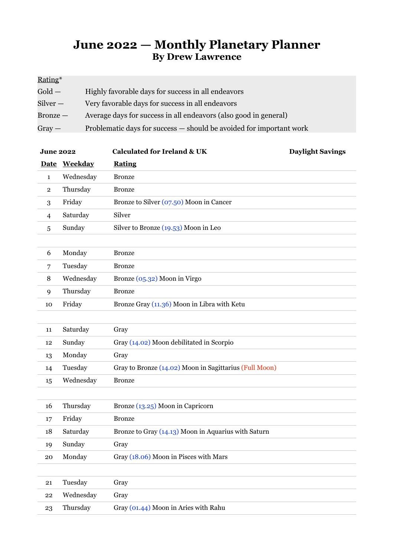## **June 2022 — Monthly Planetary Planner By Drew Lawrence**

| Rating*          |                                                                     |
|------------------|---------------------------------------------------------------------|
| $\mathrm{Gold}-$ | Highly favorable days for success in all endeavors                  |
| Silver —         | Very favorable days for success in all endeavors                    |
| Bronze —         | Average days for success in all endeavors (also good in general)    |
| $Gray -$         | Problematic days for success — should be avoided for important work |

| <b>June 2022</b> |              | <b>Calculated for Ireland &amp; UK</b>                 | <b>Daylight Savings</b> |
|------------------|--------------|--------------------------------------------------------|-------------------------|
|                  | Date Weekday | <b>Rating</b>                                          |                         |
| $\mathbf{1}$     | Wednesday    | <b>Bronze</b>                                          |                         |
| $\mathbf{2}$     | Thursday     | <b>Bronze</b>                                          |                         |
| 3                | Friday       | Bronze to Silver (07.50) Moon in Cancer                |                         |
| 4                | Saturday     | Silver                                                 |                         |
| 5                | Sunday       | Silver to Bronze $(19.53)$ Moon in Leo                 |                         |
|                  |              |                                                        |                         |
| 6                | Monday       | <b>Bronze</b>                                          |                         |
| 7                | Tuesday      | <b>Bronze</b>                                          |                         |
| 8                | Wednesday    | Bronze (05.32) Moon in Virgo                           |                         |
| 9                | Thursday     | <b>Bronze</b>                                          |                         |
| 10               | Friday       | Bronze Gray (11.36) Moon in Libra with Ketu            |                         |
|                  |              |                                                        |                         |
| 11               | Saturday     | Gray                                                   |                         |
| 12               | Sunday       | Gray (14.02) Moon debilitated in Scorpio               |                         |
| 13               | Monday       | Gray                                                   |                         |
| 14               | Tuesday      | Gray to Bronze (14.02) Moon in Sagittarius (Full Moon) |                         |
| 15               | Wednesday    | <b>Bronze</b>                                          |                         |
|                  |              |                                                        |                         |
| 16               | Thursday     | Bronze (13.25) Moon in Capricorn                       |                         |
| 17               | Friday       | <b>Bronze</b>                                          |                         |
| 18               | Saturday     | Bronze to Gray (14.13) Moon in Aquarius with Saturn    |                         |
| 19               | Sunday       | Gray                                                   |                         |
| 20               | Monday       | Gray (18.06) Moon in Pisces with Mars                  |                         |
|                  |              |                                                        |                         |
| 21               | Tuesday      | Gray                                                   |                         |
| 22               | Wednesday    | Gray                                                   |                         |
| 23               | Thursday     | Gray (01.44) Moon in Aries with Rahu                   |                         |